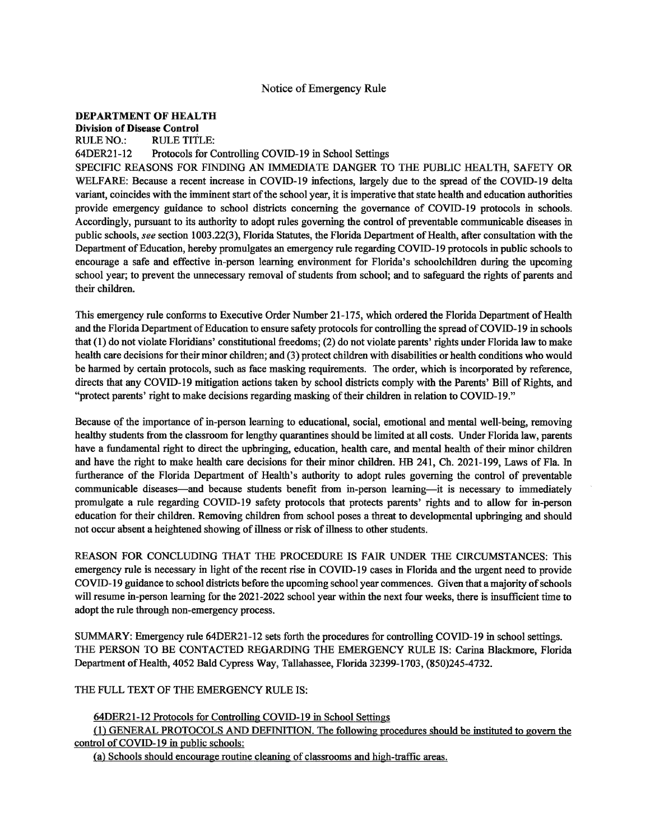## Notice of Emergency Rule

## DEPARTMENT **OF HEALTH**

Division of Disease Control

RULE NO.: RULE TITLE:

64DER21 -12 Protocols for Controlling COVID-19 in School Settings

SPECIFIC REASONS FOR FINDING AN IMMEDIATE DANGER TO THE PUBLIC HEALTH, SAFETY OR WELFARE: Because a recent increase in COVID-19 infections, largely due to the spread of the COVID-19 delta variant, coincides with the imminent start of the school year, it is imperative that state health and education authorities provide emergency guidance to school districts concerning the governance of COVID-19 protocols in schools. Accordingly, pursuant to its authority to adopt rules governing the control of preventable communicable diseases in public schools, see section 1003.22(3), Florida Statutes, the Florida Department of Health, after consultation with the Department of Education, hereby promulgates an emergency rule regarding COVID- 19 protocols in public schools to encourage a safe and effective in-person learning environment for Florida's schoolchildren during the upcoming school year; to prevent the unnecessary removal of students from school; and to safeguard the rights of parents and their children.

This emergency rule conforms to Executive Order Number 21-175, which ordered the Florida Department of Health and the Florida Department of Education to ensure safety protocols for controlling the spread of COVID-19 in schools that (1) do not violate Floridians' constitutional freedoms; (2) do not violate parents' rights under Florida law to make health care decisions for their minor children; and (3) protect children with disabilities or health conditions who would be harmed by certain protocols, such as face masking requirements. The order, which is incorporated by reference, directs that any COVID-19 mitigation actions taken by school districts comply with the Parents' Bill of Rights, and "protect parents' right to make decisions regarding masking of their children in relation to COVID-19."

Because of the importance of in-person learning to educational, social, emotional and mental well-being, removing healthy students from the classroom for lengthy quarantines should be limited at all costs. Under Florida law, parents have a fundamental right to direct the upbringing, education, health care, and mental health of their minor children and have the right to make health care decisions for their minor children. HB 241, Ch. 2021-199, Laws of Fla. In furtherance of the Florida Department of Health's authority to adopt rules governing the control of preventable communicable diseases—and because students benefit from in-person learning—it is necessary to immediately promulgate a rule regarding COVID-19 safety protocols that protects parents' rights and to allow for in-person education for their children. Removing children from school poses a threat to developmental upbringing and should not occur absent a heightened showing of illness or risk of illness to other students.

REASON FOR CONCLUDING THAT THE PROCEDURE IS FAIR UNDER THE CIRCUMSTANCES: This emergency rule is necessary in light of the recent rise in COVID-19 cases in Florida and the urgent need to provide COVID- 19 guidance to school districts before the upcoming school year commences. Given that a majority ofschools will resume in-person learning for the 2021-2022 school year within the next four weeks, there is insufficient time to adopt the rule through non-emergency process.

SUMMARY: Emergency rule 64DER21 -12 sets forth the procedures for controlling COVID-19 in school settings. THE PERSON TO BE CONTACTED REGARDING THE EMERGENCY RULE IS: Carina Blackmore, Florida Department of Health, 4052 Bald Cypress Way, Tallahassee, Florida 32399-1703, (850)245-4732.

THE FULL TEXT OF THE EMERGENCY RULE IS:

64DER21 -12 Protocols for Controlling COVID-19 in School Settings

(1) GENERAL PROTOCOLS AND DEFINITION. The following procedures should be instituted to govern the control of COVID-19 in public schools:

(a) Schools should encourage routine cleaning of classrooms and high-traffic areas.